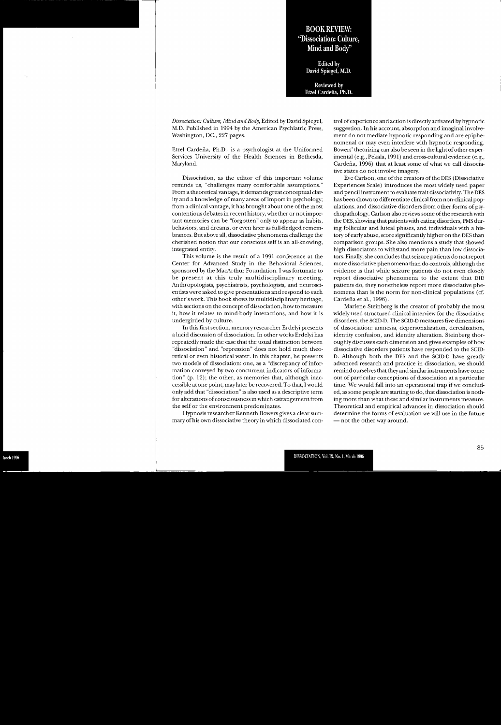## BOOK REVIEW: "Dissociation: Culture, Mind and Body"

Edited by David Spiegel, M.D.

Reviewed by Etzel Cardeña, Ph.D.

*Dissociation: Culture, Mind and Body,* Edited by David Spiegel, M.D. Published in 1994 by the American Psychiatric Press, Washington, DC., 227 pages.

Etzel Cardena, Ph.D., is <sup>a</sup> psychologist at the Uniformed Services University of the Health Sciences in Bethesda, Maryland.

Dissociation, as the editor of this important volume reminds us, "challenges many comfortable assumptions." From <sup>a</sup> theoretical vantage, it demands grea<sup>t</sup> conceptual clarity and a knowledge of many areas of import in psychology; from <sup>a</sup> clinical vantage, it has brought about one ofthe most contentious debates in recent history, whether or notimportant memories can be "forgotten" only to appear as habits, behaviors, and dreams, or even later as full-fledged remembrances. But above all, dissociative phenomena challenge the cherished notion that our conscious self is an all-knowing, integrated entity.

This volume is the result of <sup>a</sup> 1991 conference at the Center for Advanced Study in the Behavioral Sciences, sponsored by the MacArthur Foundation. I was fortunate to be presen<sup>t</sup> at this truly multidisciplinary meeting. Anthropologists, psychiatrists, psychologists, and neuroscientists were asked to give presentations and respond to each other's work. This book shows its multidisciplinary heritage, with sections on the concept of dissociation, how to measure it, how it relates to mind-body interactions, and how it is undergirded by culture.

In this first section, memory researcher Erdelyi presents a lucid discussion of dissociation. In other works Erdelyi has repeatedly made the case that the usual distinction between "dissociation" and "repression" does not hold much theoretical or even historical water. In this chapter, he presents two models of dissociation: one, as <sup>a</sup> "discrepancy of information conveyed by two concurrent indicators of information" (p. 12); the other, as memories that, although inaccessible at one point, may later be recovered. To that, I would only add that "dissociation" is also used as <sup>a</sup> descriptive term for alterations of consciousness in which estrangement from the self or the environment predominates.

Hypnosis researcher Kenneth Bowers gives <sup>a</sup> clear summary of his own dissociative theory in which dissociated con-

trol of experience and action is directly activated by hypnotic suggestion. In his account, absorption and imaginal involve ment do not mediate hypnotic responding and are epiphe nomenal or may even interfere with hypnotic responding. Bowers' theorizing can also be seen in the light of other experimental (e.g., Pekala, 1991) and cross-cultural evidence (e.g., Cardeña, 1996) that at least some of what we call dissociative states do not involve imagery.

Eve Carlson, one of the creators of the DES (Dissociative Experiences Scale) introduces the most widely used paper and pencil instrument to evaluate trait dissociativity. The DES has been shown to differentiate clinical from non-clinical pop ulations, and dissociative disorders from other forms of psy chopathology. Carlson also reviews some of the research with the DES, showing that patients with eating disorders, PMS dur ing follicular and luteal phases, and individuals with <sup>a</sup> his tory of early abuse, score significantly higher on the DES than comparison groups. She also mentions <sup>a</sup> study that showed high dissociators to withstand more pain than low dissocia tors. Finally, she concludes thatseizure patients do notreport more dissociative phenomena than do controls, although the evidence is that while seizure patients do not even closely repor<sup>t</sup> dissociative phenomena to the extent that DID patients do, they nonetheless repor<sup>t</sup> more dissociative phe nomena than is the norm for non-clinical populations (cf Cardena et al., 1996).

Marlene Steinberg is the creator of probably the most widely-used structured clinical interview for the dissociative disorders, the SCID-D. The SCID-D measures five dimensions of dissociation: amnesia, depersonalization, derealization, identity confusion, and identity alteration. Steinberg thor oughly discusses each dimension and gives examples of how dissociative disorders patients have responded to the SCID- D. Although both the DES and the SCID-D have greatly advanced research and practice in dissociation, we should remind ourselves that they and similar instruments have come out of particular conceptions of dissociation at <sup>a</sup> particular time. We would fall into an operational trap if we conclud ed, as some people are starting to do, that dissociation is noth ing more than what these and similar instruments measure. Theoretical and empirical advances in dissociation should determine the forms of evaluation we will use in the future — not the other way around.